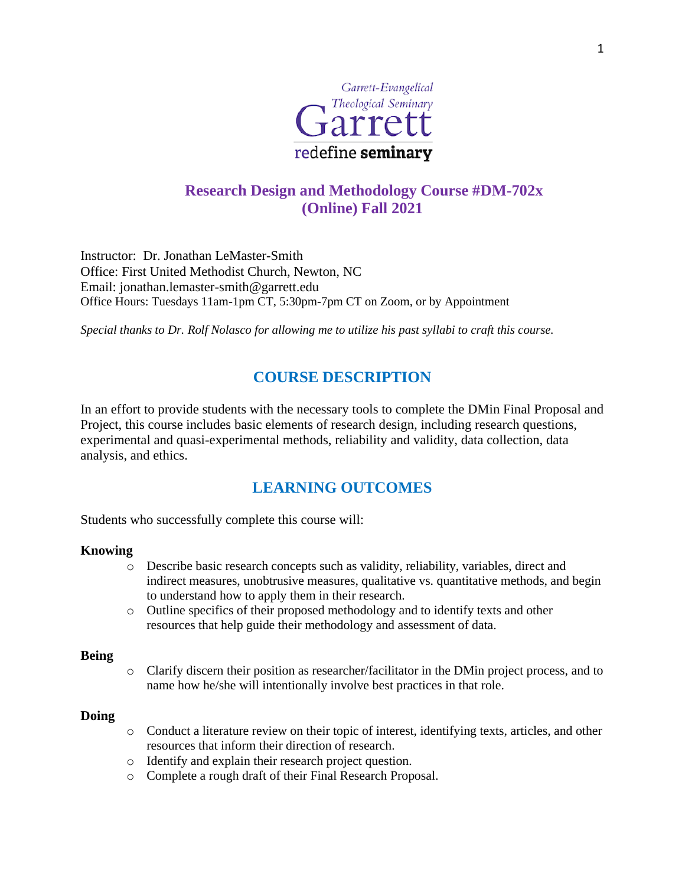

# **Research Design and Methodology Course #DM-702x (Online) Fall 2021**

Instructor: Dr. Jonathan LeMaster-Smith Office: First United Methodist Church, Newton, NC Email: jonathan.lemaster-smith@garrett.edu Office Hours: Tuesdays 11am-1pm CT, 5:30pm-7pm CT on Zoom, or by Appointment

*Special thanks to Dr. Rolf Nolasco for allowing me to utilize his past syllabi to craft this course.*

# **COURSE DESCRIPTION**

In an effort to provide students with the necessary tools to complete the DMin Final Proposal and Project, this course includes basic elements of research design, including research questions, experimental and quasi-experimental methods, reliability and validity, data collection, data analysis, and ethics.

# **LEARNING OUTCOMES**

Students who successfully complete this course will:

#### **Knowing**

- o Describe basic research concepts such as validity, reliability, variables, direct and indirect measures, unobtrusive measures, qualitative vs. quantitative methods, and begin to understand how to apply them in their research.
- o Outline specifics of their proposed methodology and to identify texts and other resources that help guide their methodology and assessment of data.

#### **Being**

o Clarify discern their position as researcher/facilitator in the DMin project process, and to name how he/she will intentionally involve best practices in that role.

#### **Doing**

- o Conduct a literature review on their topic of interest, identifying texts, articles, and other resources that inform their direction of research.
- o Identify and explain their research project question.
- o Complete a rough draft of their Final Research Proposal.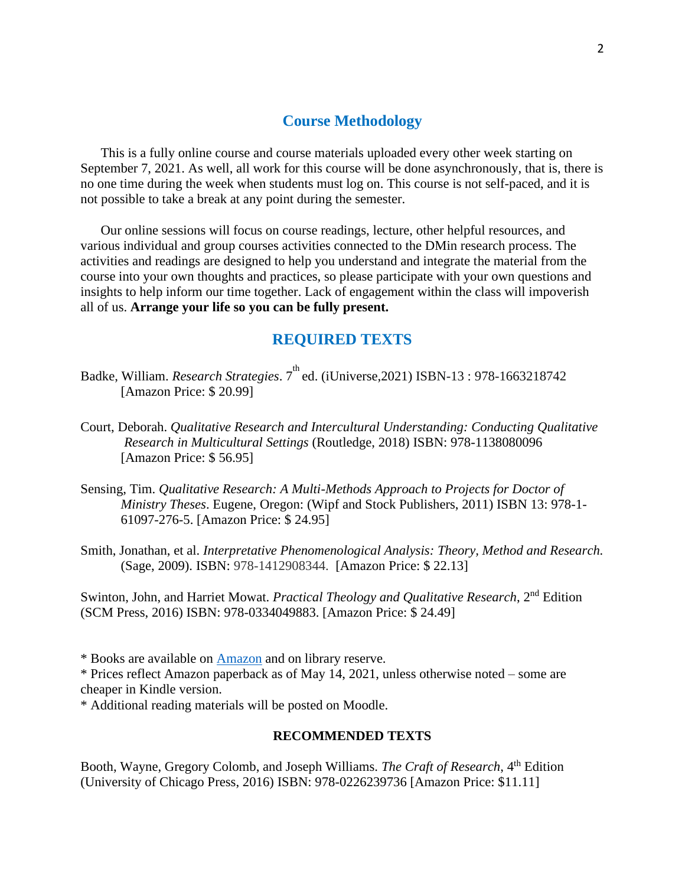## **Course Methodology**

This is a fully online course and course materials uploaded every other week starting on September 7, 2021. As well, all work for this course will be done asynchronously, that is, there is no one time during the week when students must log on. This course is not self-paced, and it is not possible to take a break at any point during the semester.

Our online sessions will focus on course readings, lecture, other helpful resources, and various individual and group courses activities connected to the DMin research process. The activities and readings are designed to help you understand and integrate the material from the course into your own thoughts and practices, so please participate with your own questions and insights to help inform our time together. Lack of engagement within the class will impoverish all of us. **Arrange your life so you can be fully present.** 

### **REQUIRED TEXTS**

- Badke, William. *Research Strategies*. 7 th ed. (iUniverse,2021) ISBN-13 : 978-1663218742 [Amazon Price: \$ 20.99]
- Court, Deborah. *Qualitative Research and Intercultural Understanding: Conducting Qualitative Research in Multicultural Settings* (Routledge, 2018) ISBN: 978-1138080096 [Amazon Price: \$ 56.95]
- Sensing, Tim. *Qualitative Research: A Multi-Methods Approach to Projects for Doctor of Ministry Theses*. Eugene, Oregon: (Wipf and Stock Publishers, 2011) ISBN 13: 978-1- 61097-276-5. [Amazon Price: \$ 24.95]
- Smith, Jonathan, et al. *Interpretative Phenomenological Analysis: Theory, Method and Research.* (Sage, 2009). ISBN: 978-1412908344. [Amazon Price: \$ 22.13]

Swinton, John, and Harriet Mowat. *Practical Theology and Qualitative Research*, 2nd Edition (SCM Press, 2016) ISBN: 978-0334049883. [Amazon Price: \$ 24.49]

\* Books are available on [Amazon](http://www.amazon.com/) and on library reserve.

\* Prices reflect Amazon paperback as of May 14, 2021, unless otherwise noted – some are cheaper in Kindle version.

\* Additional reading materials will be posted on Moodle.

#### **RECOMMENDED TEXTS**

Booth, Wayne, Gregory Colomb, and Joseph Williams. *The Craft of Research*, 4th Edition (University of Chicago Press, 2016) ISBN: 978-0226239736 [Amazon Price: \$11.11]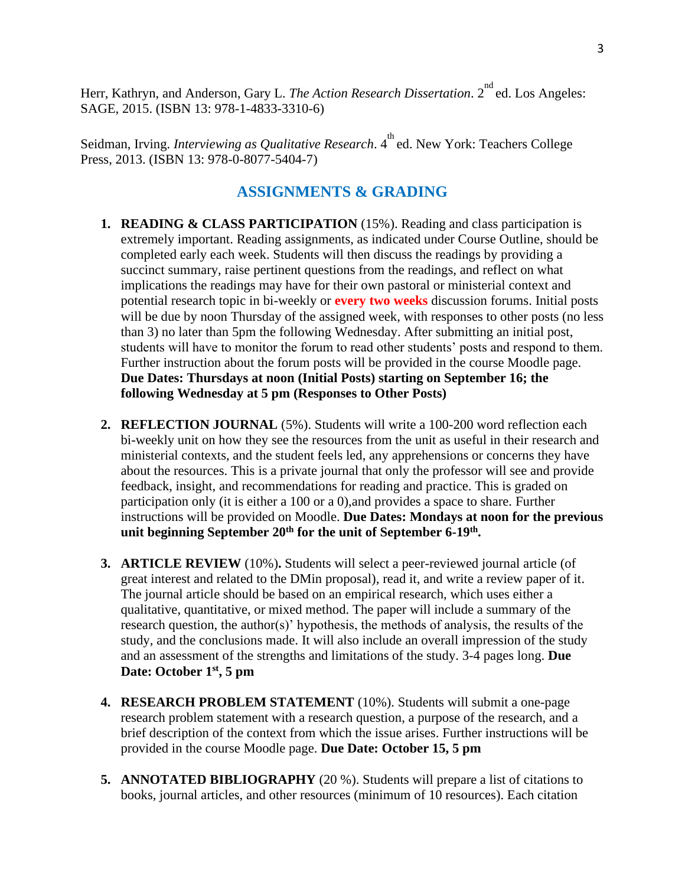Herr, Kathryn, and Anderson, Gary L. *The Action Research Dissertation*. 2<sup>nd</sup> ed. Los Angeles: SAGE, 2015. (ISBN 13: 978-1-4833-3310-6)

Seidman, Irving. *Interviewing as Qualitative Research*. 4<sup>th</sup> ed. New York: Teachers College Press, 2013. (ISBN 13: 978-0-8077-5404-7)

## **ASSIGNMENTS & GRADING**

- **1. READING & CLASS PARTICIPATION** (15%). Reading and class participation is extremely important. Reading assignments, as indicated under Course Outline, should be completed early each week. Students will then discuss the readings by providing a succinct summary, raise pertinent questions from the readings, and reflect on what implications the readings may have for their own pastoral or ministerial context and potential research topic in bi-weekly or **every two weeks** discussion forums. Initial posts will be due by noon Thursday of the assigned week, with responses to other posts (no less than 3) no later than 5pm the following Wednesday. After submitting an initial post, students will have to monitor the forum to read other students' posts and respond to them. Further instruction about the forum posts will be provided in the course Moodle page. **Due Dates: Thursdays at noon (Initial Posts) starting on September 16; the following Wednesday at 5 pm (Responses to Other Posts)**
- **2. REFLECTION JOURNAL** (5%). Students will write a 100-200 word reflection each bi-weekly unit on how they see the resources from the unit as useful in their research and ministerial contexts, and the student feels led, any apprehensions or concerns they have about the resources. This is a private journal that only the professor will see and provide feedback, insight, and recommendations for reading and practice. This is graded on participation only (it is either a 100 or a 0),and provides a space to share. Further instructions will be provided on Moodle. **Due Dates: Mondays at noon for the previous unit beginning September 20th for the unit of September 6-19th .**
- **3. ARTICLE REVIEW** (10%)**.** Students will select a peer-reviewed journal article (of great interest and related to the DMin proposal), read it, and write a review paper of it. The journal article should be based on an empirical research, which uses either a qualitative, quantitative, or mixed method. The paper will include a summary of the research question, the author(s)' hypothesis, the methods of analysis, the results of the study, and the conclusions made. It will also include an overall impression of the study and an assessment of the strengths and limitations of the study. 3-4 pages long. **Due Date: October 1st, 5 pm**
- **4. RESEARCH PROBLEM STATEMENT** (10%). Students will submit a one-page research problem statement with a research question, a purpose of the research, and a brief description of the context from which the issue arises. Further instructions will be provided in the course Moodle page. **Due Date: October 15, 5 pm**
- **5. ANNOTATED BIBLIOGRAPHY** (20 %). Students will prepare a list of citations to books, journal articles, and other resources (minimum of 10 resources). Each citation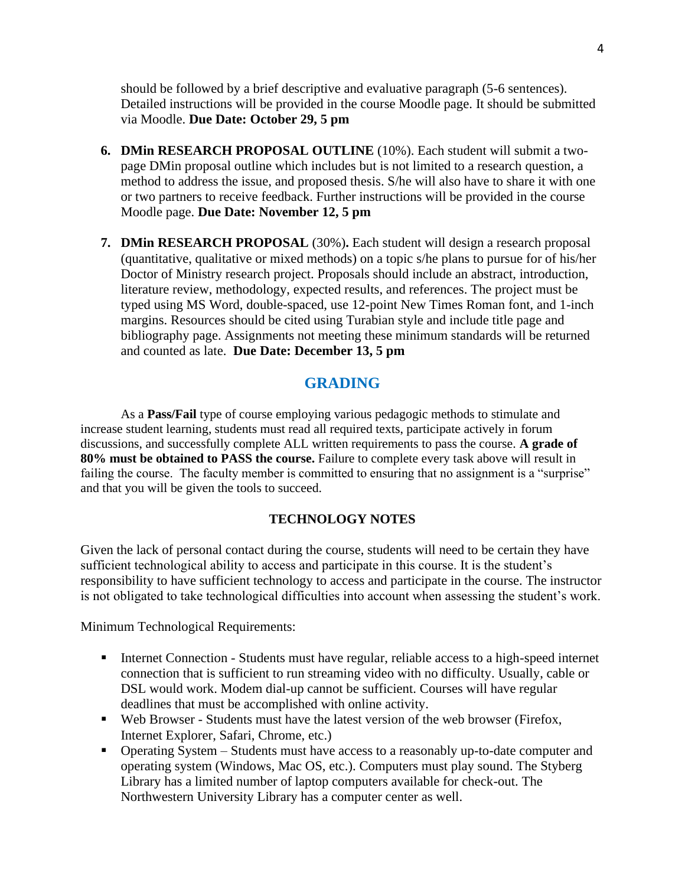should be followed by a brief descriptive and evaluative paragraph (5-6 sentences). Detailed instructions will be provided in the course Moodle page. It should be submitted via Moodle. **Due Date: October 29, 5 pm**

- **6. DMin RESEARCH PROPOSAL OUTLINE** (10%). Each student will submit a twopage DMin proposal outline which includes but is not limited to a research question, a method to address the issue, and proposed thesis. S/he will also have to share it with one or two partners to receive feedback. Further instructions will be provided in the course Moodle page. **Due Date: November 12, 5 pm**
- **7. DMin RESEARCH PROPOSAL** (30%)**.** Each student will design a research proposal (quantitative, qualitative or mixed methods) on a topic s/he plans to pursue for of his/her Doctor of Ministry research project. Proposals should include an abstract, introduction, literature review, methodology, expected results, and references. The project must be typed using MS Word, double-spaced, use 12-point New Times Roman font, and 1-inch margins. Resources should be cited using Turabian style and include title page and bibliography page. Assignments not meeting these minimum standards will be returned and counted as late. **Due Date: December 13, 5 pm**

## **GRADING**

As a **Pass/Fail** type of course employing various pedagogic methods to stimulate and increase student learning, students must read all required texts, participate actively in forum discussions, and successfully complete ALL written requirements to pass the course. **A grade of 80% must be obtained to PASS the course.** Failure to complete every task above will result in failing the course. The faculty member is committed to ensuring that no assignment is a "surprise" and that you will be given the tools to succeed.

### **TECHNOLOGY NOTES**

Given the lack of personal contact during the course, students will need to be certain they have sufficient technological ability to access and participate in this course. It is the student's responsibility to have sufficient technology to access and participate in the course. The instructor is not obligated to take technological difficulties into account when assessing the student's work.

Minimum Technological Requirements:

- Internet Connection Students must have regular, reliable access to a high-speed internet connection that is sufficient to run streaming video with no difficulty. Usually, cable or DSL would work. Modem dial-up cannot be sufficient. Courses will have regular deadlines that must be accomplished with online activity.
- Web Browser Students must have the latest version of the web browser (Firefox, Internet Explorer, Safari, Chrome, etc.)
- Operating System Students must have access to a reasonably up-to-date computer and operating system (Windows, Mac OS, etc.). Computers must play sound. The Styberg Library has a limited number of laptop computers available for check-out. The Northwestern University Library has a computer center as well.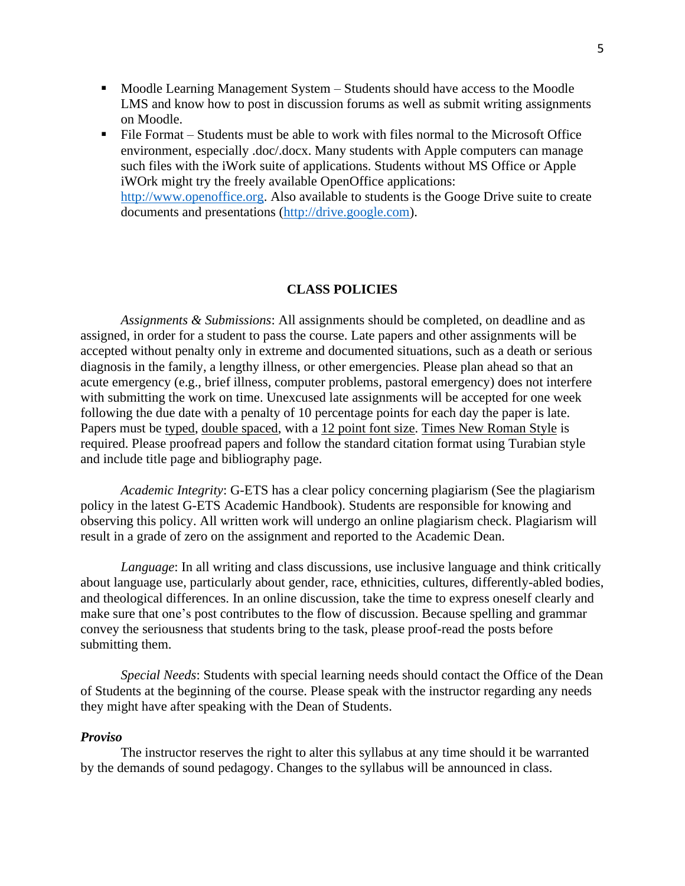- Moodle Learning Management System Students should have access to the Moodle LMS and know how to post in discussion forums as well as submit writing assignments on Moodle.
- File Format Students must be able to work with files normal to the Microsoft Office environment, especially .doc/.docx. Many students with Apple computers can manage such files with the iWork suite of applications. Students without MS Office or Apple iWOrk might try the freely available OpenOffice applications: [http://www.openoffice.org.](http://www.openoffice.org/) Also available to students is the Googe Drive suite to create documents and presentations [\(http://drive.google.com\)](http://drive.google.com/).

#### **CLASS POLICIES**

*Assignments & Submissions*: All assignments should be completed, on deadline and as assigned, in order for a student to pass the course. Late papers and other assignments will be accepted without penalty only in extreme and documented situations, such as a death or serious diagnosis in the family, a lengthy illness, or other emergencies. Please plan ahead so that an acute emergency (e.g., brief illness, computer problems, pastoral emergency) does not interfere with submitting the work on time. Unexcused late assignments will be accepted for one week following the due date with a penalty of 10 percentage points for each day the paper is late. Papers must be typed, double spaced, with a 12 point font size. Times New Roman Style is required. Please proofread papers and follow the standard citation format using Turabian style and include title page and bibliography page.

*Academic Integrity*: G-ETS has a clear policy concerning plagiarism (See the plagiarism policy in the latest G-ETS Academic Handbook). Students are responsible for knowing and observing this policy. All written work will undergo an online plagiarism check. Plagiarism will result in a grade of zero on the assignment and reported to the Academic Dean.

*Language*: In all writing and class discussions, use inclusive language and think critically about language use, particularly about gender, race, ethnicities, cultures, differently-abled bodies, and theological differences. In an online discussion, take the time to express oneself clearly and make sure that one's post contributes to the flow of discussion. Because spelling and grammar convey the seriousness that students bring to the task, please proof-read the posts before submitting them.

*Special Needs*: Students with special learning needs should contact the Office of the Dean of Students at the beginning of the course. Please speak with the instructor regarding any needs they might have after speaking with the Dean of Students.

#### *Proviso*

The instructor reserves the right to alter this syllabus at any time should it be warranted by the demands of sound pedagogy. Changes to the syllabus will be announced in class.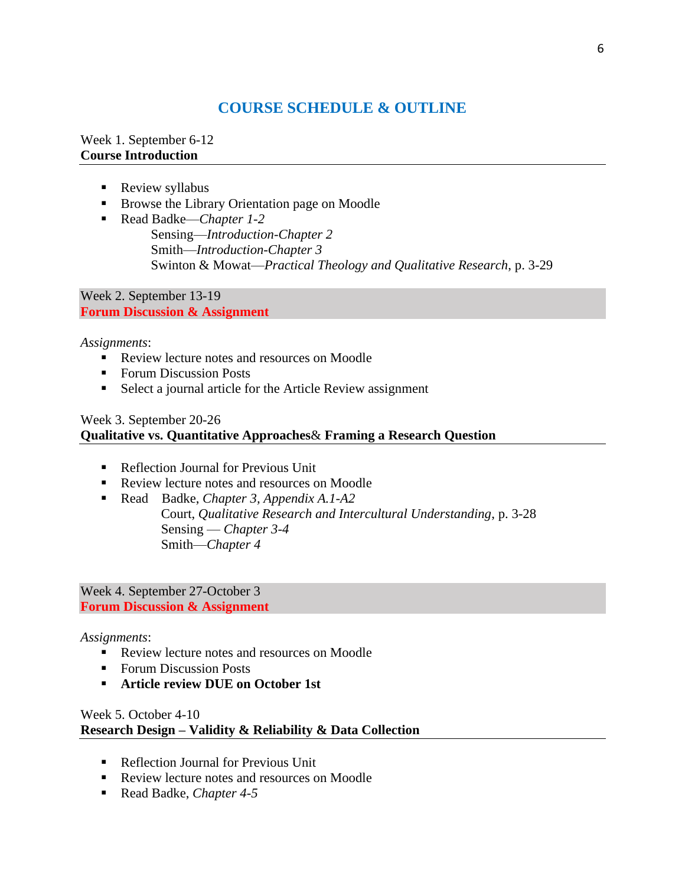# **COURSE SCHEDULE & OUTLINE**

### Week 1. September 6-12 **Course Introduction**

- Review syllabus
- Browse the Library Orientation page on Moodle
- Read Badke—*Chapter 1-2* Sensing—*Introduction-Chapter 2* Smith—*Introduction-Chapter 3* Swinton & Mowat—*Practical Theology and Qualitative Research*, p. 3-29

Week 2. September 13-19 **Forum Discussion & Assignment**

*Assignments*:

- Review lecture notes and resources on Moodle
- Forum Discussion Posts
- Select a journal article for the Article Review assignment

## Week 3. September 20-26

## **Qualitative vs. Quantitative Approaches**& **Framing a Research Question**

- Reflection Journal for Previous Unit
- Review lecture notes and resources on Moodle
- Read Badke, *Chapter 3, Appendix A.1-A2* Court, *Qualitative Research and Intercultural Understanding*, p. 3-28 Sensing — *Chapter 3-4* Smith—*Chapter 4*

Week 4. September 27-October 3 **Forum Discussion & Assignment**

### *Assignments*:

- Review lecture notes and resources on Moodle
- Forum Discussion Posts
- **Article review DUE on October 1st**

## Week 5. October 4-10 **Research Design – Validity & Reliability & Data Collection**

- Reflection Journal for Previous Unit
- Review lecture notes and resources on Moodle
- Read Badke, *Chapter 4-5*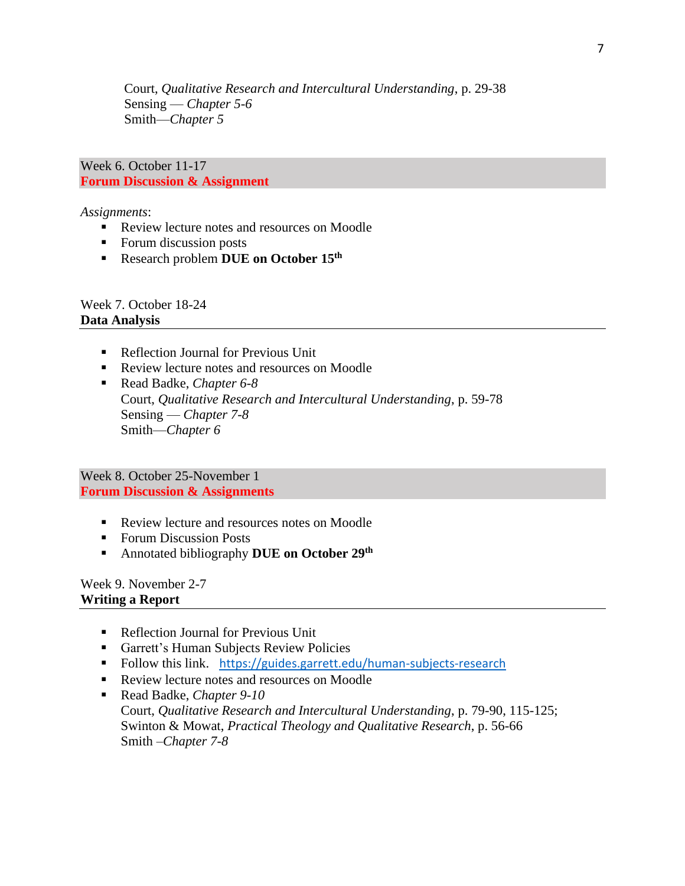Court, *Qualitative Research and Intercultural Understanding*, p. 29-38 Sensing — *Chapter 5-6* Smith—*Chapter 5*

Week 6. October 11-17 **Forum Discussion & Assignment**

*Assignments*:

- Review lecture notes and resources on Moodle
- Forum discussion posts
- Research problem **DUE on October 15th**

Week 7. October 18-24 **Data Analysis**

- Reflection Journal for Previous Unit
- Review lecture notes and resources on Moodle
- Read Badke, *Chapter* 6-8 Court, *Qualitative Research and Intercultural Understanding*, p. 59-78 Sensing — *Chapter 7-8* Smith—*Chapter 6*

Week 8. October 25-November 1 **Forum Discussion & Assignments**

- Review lecture and resources notes on Moodle
- Forum Discussion Posts
- **EXECUTE:** Annotated bibliography DUE on October 29<sup>th</sup>

Week 9. November 2-7 **Writing a Report**

- Reflection Journal for Previous Unit
- Garrett's Human Subjects Review Policies
- Follow this link. https://guides.garrett.edu/human-subjects-research
- Review lecture notes and resources on Moodle
- Read Badke, *Chapter 9-10* Court, *Qualitative Research and Intercultural Understanding*, p. 79-90, 115-125; Swinton & Mowat, *Practical Theology and Qualitative Research*, p. 56-66 Smith –*Chapter 7-8*